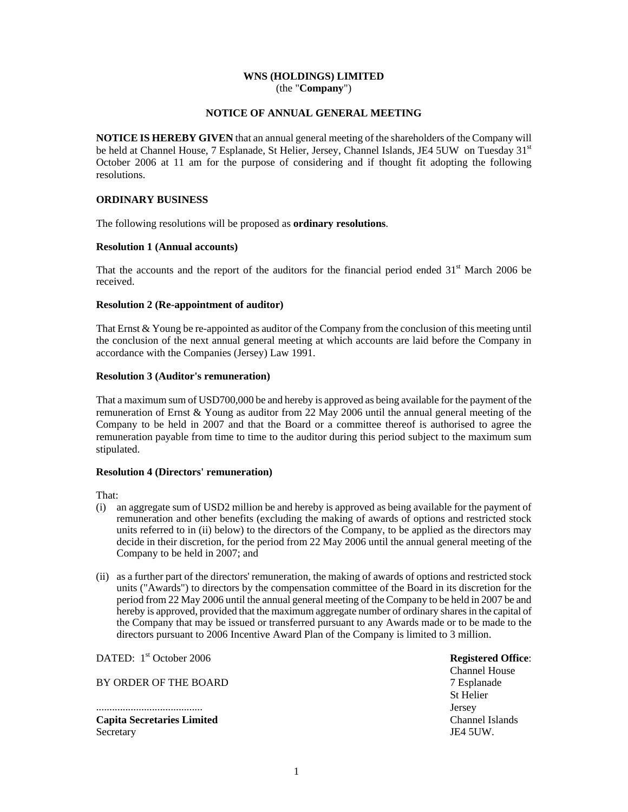# **WNS (HOLDINGS) LIMITED**  (the "**Company**")

## **NOTICE OF ANNUAL GENERAL MEETING**

**NOTICE IS HEREBY GIVEN** that an annual general meeting of the shareholders of the Company will be held at Channel House, 7 Esplanade, St Helier, Jersey, Channel Islands, JE4 5UW on Tuesday 31<sup>st</sup> October 2006 at 11 am for the purpose of considering and if thought fit adopting the following resolutions.

# **ORDINARY BUSINESS**

The following resolutions will be proposed as **ordinary resolutions**.

## **Resolution 1 (Annual accounts)**

That the accounts and the report of the auditors for the financial period ended  $31<sup>st</sup>$  March 2006 be received.

## **Resolution 2 (Re-appointment of auditor)**

That Ernst  $& Young$  be re-appointed as auditor of the Company from the conclusion of this meeting until the conclusion of the next annual general meeting at which accounts are laid before the Company in accordance with the Companies (Jersey) Law 1991.

## **Resolution 3 (Auditor's remuneration)**

That a maximum sum of USD700,000 be and hereby is approved as being available for the payment of the remuneration of Ernst & Young as auditor from 22 May 2006 until the annual general meeting of the Company to be held in 2007 and that the Board or a committee thereof is authorised to agree the remuneration payable from time to time to the auditor during this period subject to the maximum sum stipulated.

#### **Resolution 4 (Directors' remuneration)**

That:

- (i) an aggregate sum of USD2 million be and hereby is approved as being available for the payment of remuneration and other benefits (excluding the making of awards of options and restricted stock units referred to in (ii) below) to the directors of the Company, to be applied as the directors may decide in their discretion, for the period from 22 May 2006 until the annual general meeting of the Company to be held in 2007; and
- (ii) as a further part of the directors' remuneration, the making of awards of options and restricted stock units ("Awards") to directors by the compensation committee of the Board in its discretion for the period from 22 May 2006 until the annual general meeting of the Company to be held in 2007 be and hereby is approved, provided that the maximum aggregate number of ordinary shares in the capital of the Company that may be issued or transferred pursuant to any Awards made or to be made to the directors pursuant to 2006 Incentive Award Plan of the Company is limited to 3 million.

DATED: 1<sup>st</sup> October 2006

BY ORDER OF THE BOARD

........................................ **Capita Secretaries Limited**  Secretary

**Registered Office**: Channel House 7 Esplanade St Helier Jersey Channel Islands JE4 5UW.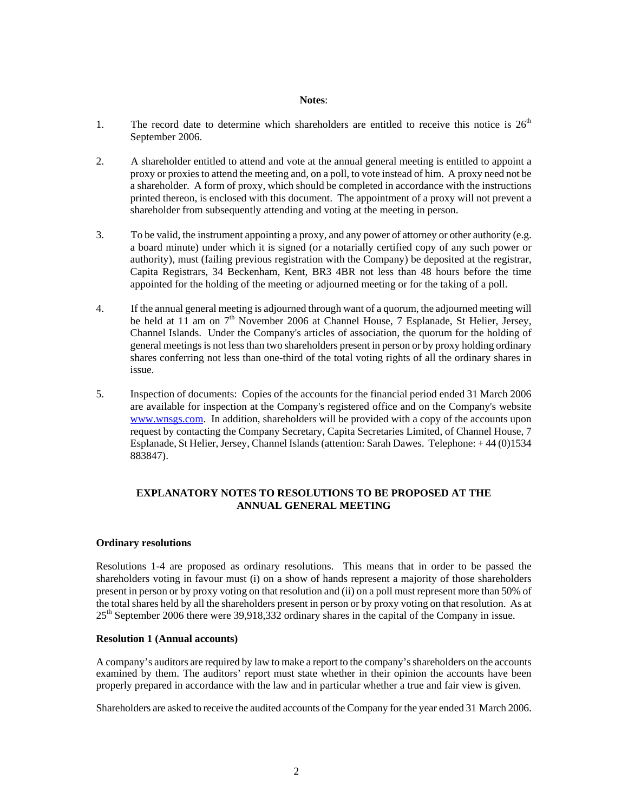#### **Notes**:

- 1. The record date to determine which shareholders are entitled to receive this notice is  $26<sup>th</sup>$ September 2006.
- 2. A shareholder entitled to attend and vote at the annual general meeting is entitled to appoint a proxy or proxies to attend the meeting and, on a poll, to vote instead of him. A proxy need not be a shareholder. A form of proxy, which should be completed in accordance with the instructions printed thereon, is enclosed with this document. The appointment of a proxy will not prevent a shareholder from subsequently attending and voting at the meeting in person.
- 3. To be valid, the instrument appointing a proxy, and any power of attorney or other authority (e.g. a board minute) under which it is signed (or a notarially certified copy of any such power or authority), must (failing previous registration with the Company) be deposited at the registrar, Capita Registrars, 34 Beckenham, Kent, BR3 4BR not less than 48 hours before the time appointed for the holding of the meeting or adjourned meeting or for the taking of a poll.
- 4. If the annual general meeting is adjourned through want of a quorum, the adjourned meeting will be held at 11 am on 7<sup>th</sup> November 2006 at Channel House, 7 Esplanade, St Helier, Jersey, Channel Islands. Under the Company's articles of association, the quorum for the holding of general meetings is not less than two shareholders present in person or by proxy holding ordinary shares conferring not less than one-third of the total voting rights of all the ordinary shares in issue.
- 5. Inspection of documents: Copies of the accounts for the financial period ended 31 March 2006 are available for inspection at the Company's registered office and on the Company's website www.wnsgs.com. In addition, shareholders will be provided with a copy of the accounts upon request by contacting the Company Secretary, Capita Secretaries Limited, of Channel House, 7 Esplanade, St Helier, Jersey, Channel Islands (attention: Sarah Dawes. Telephone: + 44 (0)1534 883847).

# **EXPLANATORY NOTES TO RESOLUTIONS TO BE PROPOSED AT THE ANNUAL GENERAL MEETING**

# **Ordinary resolutions**

Resolutions 1-4 are proposed as ordinary resolutions. This means that in order to be passed the shareholders voting in favour must (i) on a show of hands represent a majority of those shareholders present in person or by proxy voting on that resolution and (ii) on a poll must represent more than 50% of the total shares held by all the shareholders present in person or by proxy voting on that resolution. As at 25th September 2006 there were 39,918,332 ordinary shares in the capital of the Company in issue.

# **Resolution 1 (Annual accounts)**

A company's auditors are required by law to make a report to the company's shareholders on the accounts examined by them. The auditors' report must state whether in their opinion the accounts have been properly prepared in accordance with the law and in particular whether a true and fair view is given.

Shareholders are asked to receive the audited accounts of the Company for the year ended 31 March 2006.